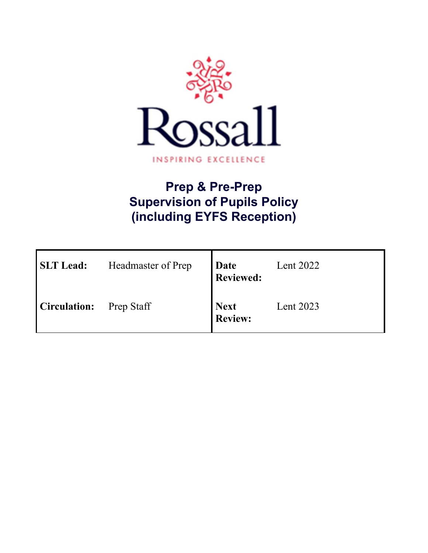

# **Prep & Pre-Prep Supervision of Pupils Policy (including EYFS Reception)**

| <b>SLT</b> Lead:    | Headmaster of Prep | Date<br><b>Reviewed:</b>      | Lent $2022$ |
|---------------------|--------------------|-------------------------------|-------------|
| <b>Circulation:</b> | <b>Prep Staff</b>  | <b>Next</b><br><b>Review:</b> | Lent 2023   |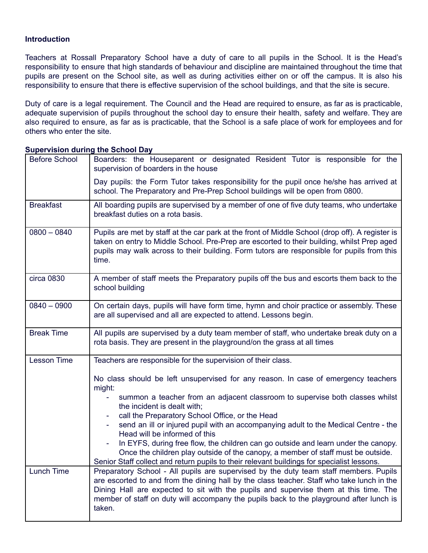## **Introduction**

Teachers at Rossall Preparatory School have a duty of care to all pupils in the School. It is the Head's responsibility to ensure that high standards of behaviour and discipline are maintained throughout the time that pupils are present on the School site, as well as during activities either on or off the campus. It is also his responsibility to ensure that there is effective supervision of the school buildings, and that the site is secure.

Duty of care is a legal requirement. The Council and the Head are required to ensure, as far as is practicable, adequate supervision of pupils throughout the school day to ensure their health, safety and welfare. They are also required to ensure, as far as is practicable, that the School is a safe place of work for employees and for others who enter the site.

| <b>Before School</b> | Boarders: the Houseparent or designated Resident Tutor is responsible for the<br>supervision of boarders in the house                                                                                                                                                                                                                                                            |  |  |
|----------------------|----------------------------------------------------------------------------------------------------------------------------------------------------------------------------------------------------------------------------------------------------------------------------------------------------------------------------------------------------------------------------------|--|--|
|                      | Day pupils: the Form Tutor takes responsibility for the pupil once he/she has arrived at<br>school. The Preparatory and Pre-Prep School buildings will be open from 0800.                                                                                                                                                                                                        |  |  |
| <b>Breakfast</b>     | All boarding pupils are supervised by a member of one of five duty teams, who undertake<br>breakfast duties on a rota basis.                                                                                                                                                                                                                                                     |  |  |
| $0800 - 0840$        | Pupils are met by staff at the car park at the front of Middle School (drop off). A register is<br>taken on entry to Middle School. Pre-Prep are escorted to their building, whilst Prep aged<br>pupils may walk across to their building. Form tutors are responsible for pupils from this<br>time.                                                                             |  |  |
| circa 0830           | A member of staff meets the Preparatory pupils off the bus and escorts them back to the<br>school building                                                                                                                                                                                                                                                                       |  |  |
| $0840 - 0900$        | On certain days, pupils will have form time, hymn and choir practice or assembly. These<br>are all supervised and all are expected to attend. Lessons begin.                                                                                                                                                                                                                     |  |  |
| <b>Break Time</b>    | All pupils are supervised by a duty team member of staff, who undertake break duty on a<br>rota basis. They are present in the playground/on the grass at all times                                                                                                                                                                                                              |  |  |
| <b>Lesson Time</b>   | Teachers are responsible for the supervision of their class.                                                                                                                                                                                                                                                                                                                     |  |  |
|                      | No class should be left unsupervised for any reason. In case of emergency teachers<br>might:                                                                                                                                                                                                                                                                                     |  |  |
|                      | summon a teacher from an adjacent classroom to supervise both classes whilst<br>the incident is dealt with;                                                                                                                                                                                                                                                                      |  |  |
|                      | call the Preparatory School Office, or the Head<br>send an ill or injured pupil with an accompanying adult to the Medical Centre - the<br>Head will be informed of this                                                                                                                                                                                                          |  |  |
|                      | In EYFS, during free flow, the children can go outside and learn under the canopy.<br>Once the children play outside of the canopy, a member of staff must be outside.<br>Senior Staff collect and return pupils to their relevant buildings for specialist lessons.                                                                                                             |  |  |
| Lunch Time           | Preparatory School - All pupils are supervised by the duty team staff members. Pupils<br>are escorted to and from the dining hall by the class teacher. Staff who take lunch in the<br>Dining Hall are expected to sit with the pupils and supervise them at this time. The<br>member of staff on duty will accompany the pupils back to the playground after lunch is<br>taken. |  |  |

### **Supervision during the School Day**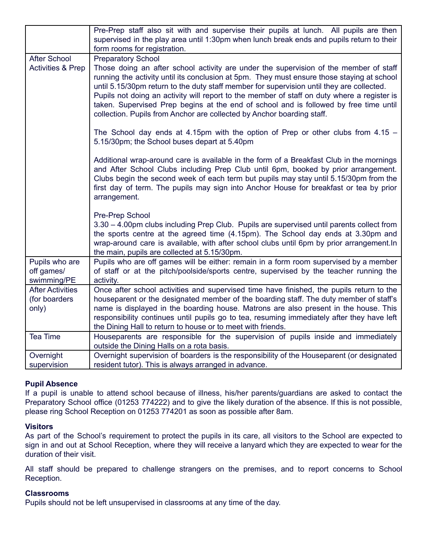|                                                   | Pre-Prep staff also sit with and supervise their pupils at lunch. All pupils are then<br>supervised in the play area until 1:30pm when lunch break ends and pupils return to their<br>form rooms for registration.                                                                                                                                                                                                                                                                                                                                 |
|---------------------------------------------------|----------------------------------------------------------------------------------------------------------------------------------------------------------------------------------------------------------------------------------------------------------------------------------------------------------------------------------------------------------------------------------------------------------------------------------------------------------------------------------------------------------------------------------------------------|
| <b>After School</b>                               | <b>Preparatory School</b>                                                                                                                                                                                                                                                                                                                                                                                                                                                                                                                          |
| <b>Activities &amp; Prep</b>                      | Those doing an after school activity are under the supervision of the member of staff<br>running the activity until its conclusion at 5pm. They must ensure those staying at school<br>until 5.15/30pm return to the duty staff member for supervision until they are collected.<br>Pupils not doing an activity will report to the member of staff on duty where a register is<br>taken. Supervised Prep begins at the end of school and is followed by free time until<br>collection. Pupils from Anchor are collected by Anchor boarding staff. |
|                                                   | The School day ends at 4.15pm with the option of Prep or other clubs from $4.15 -$<br>5.15/30pm; the School buses depart at 5.40pm                                                                                                                                                                                                                                                                                                                                                                                                                 |
|                                                   | Additional wrap-around care is available in the form of a Breakfast Club in the mornings<br>and After School Clubs including Prep Club until 6pm, booked by prior arrangement.<br>Clubs begin the second week of each term but pupils may stay until 5.15/30pm from the<br>first day of term. The pupils may sign into Anchor House for breakfast or tea by prior<br>arrangement.                                                                                                                                                                  |
|                                                   | Pre-Prep School<br>3.30 - 4.00pm clubs including Prep Club. Pupils are supervised until parents collect from<br>the sports centre at the agreed time (4.15pm). The School day ends at 3.30pm and<br>wrap-around care is available, with after school clubs until 6pm by prior arrangement. In<br>the main, pupils are collected at 5.15/30pm.                                                                                                                                                                                                      |
| Pupils who are<br>off games/<br>swimming/PE       | Pupils who are off games will be either: remain in a form room supervised by a member<br>of staff or at the pitch/poolside/sports centre, supervised by the teacher running the<br>activity.                                                                                                                                                                                                                                                                                                                                                       |
| <b>After Activities</b><br>(for boarders<br>only) | Once after school activities and supervised time have finished, the pupils return to the<br>houseparent or the designated member of the boarding staff. The duty member of staff's<br>name is displayed in the boarding house. Matrons are also present in the house. This<br>responsibility continues until pupils go to tea, resuming immediately after they have left<br>the Dining Hall to return to house or to meet with friends.                                                                                                            |
| Tea Time                                          | Houseparents are responsible for the supervision of pupils inside and immediately<br>outside the Dining Halls on a rota basis.                                                                                                                                                                                                                                                                                                                                                                                                                     |
| Overnight<br>supervision                          | Overnight supervision of boarders is the responsibility of the Houseparent (or designated<br>resident tutor). This is always arranged in advance.                                                                                                                                                                                                                                                                                                                                                                                                  |

### **Pupil Absence**

If a pupil is unable to attend school because of illness, his/her parents/guardians are asked to contact the Preparatory School office (01253 774222) and to give the likely duration of the absence. If this is not possible, please ring School Reception on 01253 774201 as soon as possible after 8am.

### **Visitors**

As part of the School's requirement to protect the pupils in its care, all visitors to the School are expected to sign in and out at School Reception, where they will receive a lanyard which they are expected to wear for the duration of their visit.

All staff should be prepared to challenge strangers on the premises, and to report concerns to School Reception.

### **Classrooms**

Pupils should not be left unsupervised in classrooms at any time of the day.